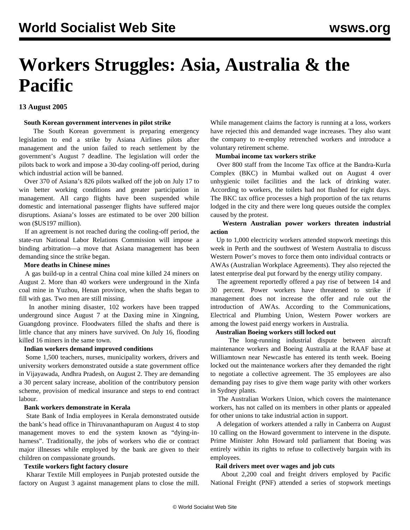# **Workers Struggles: Asia, Australia & the Pacific**

# **13 August 2005**

#### **South Korean government intervenes in pilot strike**

 The South Korean government is preparing emergency legislation to end a strike by Asiana Airlines pilots after management and the union failed to reach settlement by the government's August 7 deadline. The legislation will order the pilots back to work and impose a 30-day cooling-off period, during which industrial action will be banned.

 Over 370 of Asiana's 826 pilots walked off the job on July 17 to win better working conditions and greater participation in management. All cargo flights have been suspended while domestic and international passenger flights have suffered major disruptions. Asiana's losses are estimated to be over 200 billion won (\$US197 million).

 If an agreement is not reached during the cooling-off period, the state-run National Labor Relations Commission will impose a binding arbitration—a move that Asiana management has been demanding since the strike began.

## **More deaths in Chinese mines**

 A gas build-up in a central China coal mine killed 24 miners on August 2. More than 40 workers were underground in the Xinfa coal mine in Yuzhou, Henan province, when the shafts began to fill with gas. Two men are still missing.

 In another mining disaster, 102 workers have been trapped underground since August 7 at the Daxing mine in Xingning, Guangdong province. Floodwaters filled the shafts and there is little chance that any miners have survived. On July 16, flooding killed 16 miners in the same town.

# **Indian workers demand improved conditions**

 Some 1,500 teachers, nurses, municipality workers, drivers and university workers demonstrated outside a state government office in Vijayawada, Andhra Pradesh, on August 2. They are demanding a 30 percent salary increase, abolition of the contributory pension scheme, provision of medical insurance and steps to end contract labour.

#### **Bank workers demonstrate in Kerala**

 State Bank of India employees in Kerala demonstrated outside the bank's head office in Thiruvananthapuram on August 4 to stop management moves to end the system known as "dying-inharness". Traditionally, the jobs of workers who die or contract major illnesses while employed by the bank are given to their children on compassionate grounds.

#### **Textile workers fight factory closure**

 Kharar Textile Mill employees in Punjab protested outside the factory on August 3 against management plans to close the mill.

While management claims the factory is running at a loss, workers have rejected this and demanded wage increases. They also want the company to re-employ retrenched workers and introduce a voluntary retirement scheme.

#### **Mumbai income tax workers strike**

 Over 800 staff from the Income Tax office at the Bandra-Kurla Complex (BKC) in Mumbai walked out on August 4 over unhygienic toilet facilities and the lack of drinking water. According to workers, the toilets had not flushed for eight days. The BKC tax office processes a high proportion of the tax returns lodged in the city and there were long queues outside the complex caused by the protest.

# **Western Australian power workers threaten industrial action**

 Up to 1,000 electricity workers attended stopwork meetings this week in Perth and the southwest of Western Australia to discuss Western Power's moves to force them onto individual contracts or AWAs (Australian Workplace Agreements). They also rejected the latest enterprise deal put forward by the energy utility company.

 The agreement reportedly offered a pay rise of between 14 and 30 percent. Power workers have threatened to strike if management does not increase the offer and rule out the introduction of AWAs. According to the Communications, Electrical and Plumbing Union, Western Power workers are among the lowest paid energy workers in Australia.

#### **Australian Boeing workers still locked out**

 The long-running industrial dispute between aircraft maintenance workers and Boeing Australia at the RAAF base at Williamtown near Newcastle has entered its tenth week. Boeing locked out the maintenance workers after they demanded the right to negotiate a collective agreement. The 35 employees are also demanding pay rises to give them wage parity with other workers in Sydney plants.

 The Australian Workers Union, which covers the maintenance workers, has not called on its members in other plants or appealed for other unions to take industrial action in support.

 A delegation of workers attended a rally in Canberra on August 10 calling on the Howard government to intervene in the dispute. Prime Minister John Howard told parliament that Boeing was entirely within its rights to refuse to collectively bargain with its employees.

#### **Rail drivers meet over wages and job cuts**

 About 2,200 coal and freight drivers employed by Pacific National Freight (PNF) attended a series of stopwork meetings